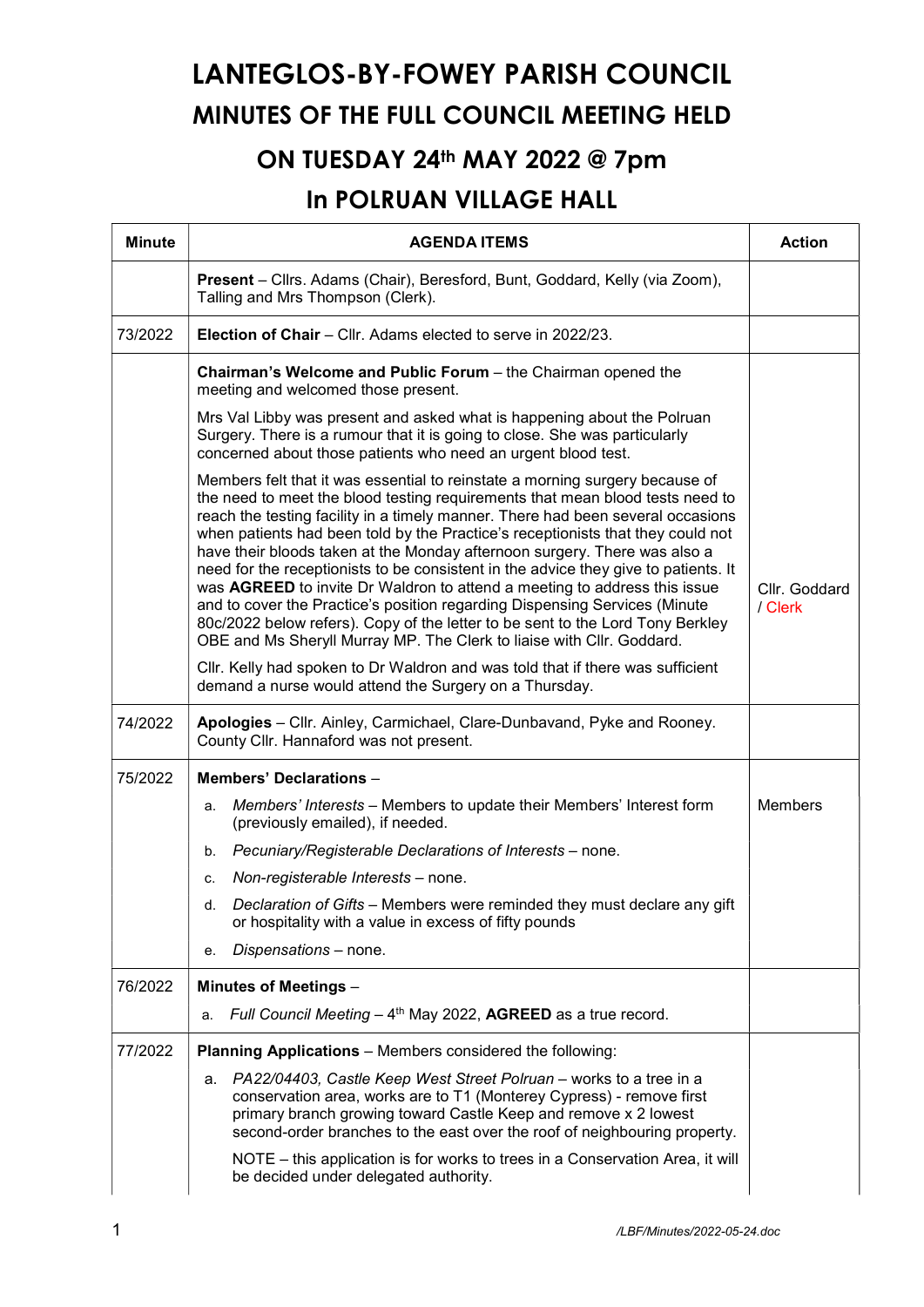## LANTEGLOS-BY-FOWEY PARISH COUNCIL MINUTES OF THE FULL COUNCIL MEETING HELD

## ON TUESDAY 24th MAY 2022 @ 7pm

## In POLRUAN VILLAGE HALL

| <b>Minute</b> | <b>AGENDA ITEMS</b>                                                                                                                                                                                                                                                                                                                                                                                                                                                                                                                                                                                                                                                                                                                                                                                                           | <b>Action</b> |  |  |  |
|---------------|-------------------------------------------------------------------------------------------------------------------------------------------------------------------------------------------------------------------------------------------------------------------------------------------------------------------------------------------------------------------------------------------------------------------------------------------------------------------------------------------------------------------------------------------------------------------------------------------------------------------------------------------------------------------------------------------------------------------------------------------------------------------------------------------------------------------------------|---------------|--|--|--|
|               | Present - Cllrs. Adams (Chair), Beresford, Bunt, Goddard, Kelly (via Zoom),<br>Talling and Mrs Thompson (Clerk).                                                                                                                                                                                                                                                                                                                                                                                                                                                                                                                                                                                                                                                                                                              |               |  |  |  |
| 73/2022       | <b>Election of Chair</b> – Cllr. Adams elected to serve in 2022/23.                                                                                                                                                                                                                                                                                                                                                                                                                                                                                                                                                                                                                                                                                                                                                           |               |  |  |  |
|               | Chairman's Welcome and Public Forum - the Chairman opened the<br>meeting and welcomed those present.                                                                                                                                                                                                                                                                                                                                                                                                                                                                                                                                                                                                                                                                                                                          |               |  |  |  |
|               | Mrs Val Libby was present and asked what is happening about the Polruan<br>Surgery. There is a rumour that it is going to close. She was particularly<br>concerned about those patients who need an urgent blood test.                                                                                                                                                                                                                                                                                                                                                                                                                                                                                                                                                                                                        |               |  |  |  |
|               | Members felt that it was essential to reinstate a morning surgery because of<br>the need to meet the blood testing requirements that mean blood tests need to<br>reach the testing facility in a timely manner. There had been several occasions<br>when patients had been told by the Practice's receptionists that they could not<br>have their bloods taken at the Monday afternoon surgery. There was also a<br>need for the receptionists to be consistent in the advice they give to patients. It<br>was AGREED to invite Dr Waldron to attend a meeting to address this issue<br>and to cover the Practice's position regarding Dispensing Services (Minute<br>80c/2022 below refers). Copy of the letter to be sent to the Lord Tony Berkley<br>OBE and Ms Sheryll Murray MP. The Clerk to liaise with Cllr. Goddard. |               |  |  |  |
|               | Cllr. Kelly had spoken to Dr Waldron and was told that if there was sufficient<br>demand a nurse would attend the Surgery on a Thursday.                                                                                                                                                                                                                                                                                                                                                                                                                                                                                                                                                                                                                                                                                      |               |  |  |  |
| 74/2022       | Apologies - Cllr. Ainley, Carmichael, Clare-Dunbavand, Pyke and Rooney.<br>County Cllr. Hannaford was not present.                                                                                                                                                                                                                                                                                                                                                                                                                                                                                                                                                                                                                                                                                                            |               |  |  |  |
| 75/2022       | <b>Members' Declarations -</b>                                                                                                                                                                                                                                                                                                                                                                                                                                                                                                                                                                                                                                                                                                                                                                                                |               |  |  |  |
|               | Members' Interests - Members to update their Members' Interest form<br>a.<br>(previously emailed), if needed.                                                                                                                                                                                                                                                                                                                                                                                                                                                                                                                                                                                                                                                                                                                 | Members       |  |  |  |
|               | Pecuniary/Registerable Declarations of Interests - none.<br>b.                                                                                                                                                                                                                                                                                                                                                                                                                                                                                                                                                                                                                                                                                                                                                                |               |  |  |  |
|               | Non-registerable Interests - none.<br>c.                                                                                                                                                                                                                                                                                                                                                                                                                                                                                                                                                                                                                                                                                                                                                                                      |               |  |  |  |
|               | Declaration of Gifts – Members were reminded they must declare any gift<br>d.<br>or hospitality with a value in excess of fifty pounds                                                                                                                                                                                                                                                                                                                                                                                                                                                                                                                                                                                                                                                                                        |               |  |  |  |
|               | Dispensations - none.<br>е.                                                                                                                                                                                                                                                                                                                                                                                                                                                                                                                                                                                                                                                                                                                                                                                                   |               |  |  |  |
| 76/2022       | <b>Minutes of Meetings -</b>                                                                                                                                                                                                                                                                                                                                                                                                                                                                                                                                                                                                                                                                                                                                                                                                  |               |  |  |  |
|               | Full Council Meeting - 4 <sup>th</sup> May 2022, AGREED as a true record.<br>a.                                                                                                                                                                                                                                                                                                                                                                                                                                                                                                                                                                                                                                                                                                                                               |               |  |  |  |
| 77/2022       | <b>Planning Applications</b> – Members considered the following:                                                                                                                                                                                                                                                                                                                                                                                                                                                                                                                                                                                                                                                                                                                                                              |               |  |  |  |
|               | PA22/04403, Castle Keep West Street Polruan - works to a tree in a<br>а.<br>conservation area, works are to T1 (Monterey Cypress) - remove first<br>primary branch growing toward Castle Keep and remove x 2 lowest<br>second-order branches to the east over the roof of neighbouring property.                                                                                                                                                                                                                                                                                                                                                                                                                                                                                                                              |               |  |  |  |
|               | NOTE - this application is for works to trees in a Conservation Area, it will<br>be decided under delegated authority.                                                                                                                                                                                                                                                                                                                                                                                                                                                                                                                                                                                                                                                                                                        |               |  |  |  |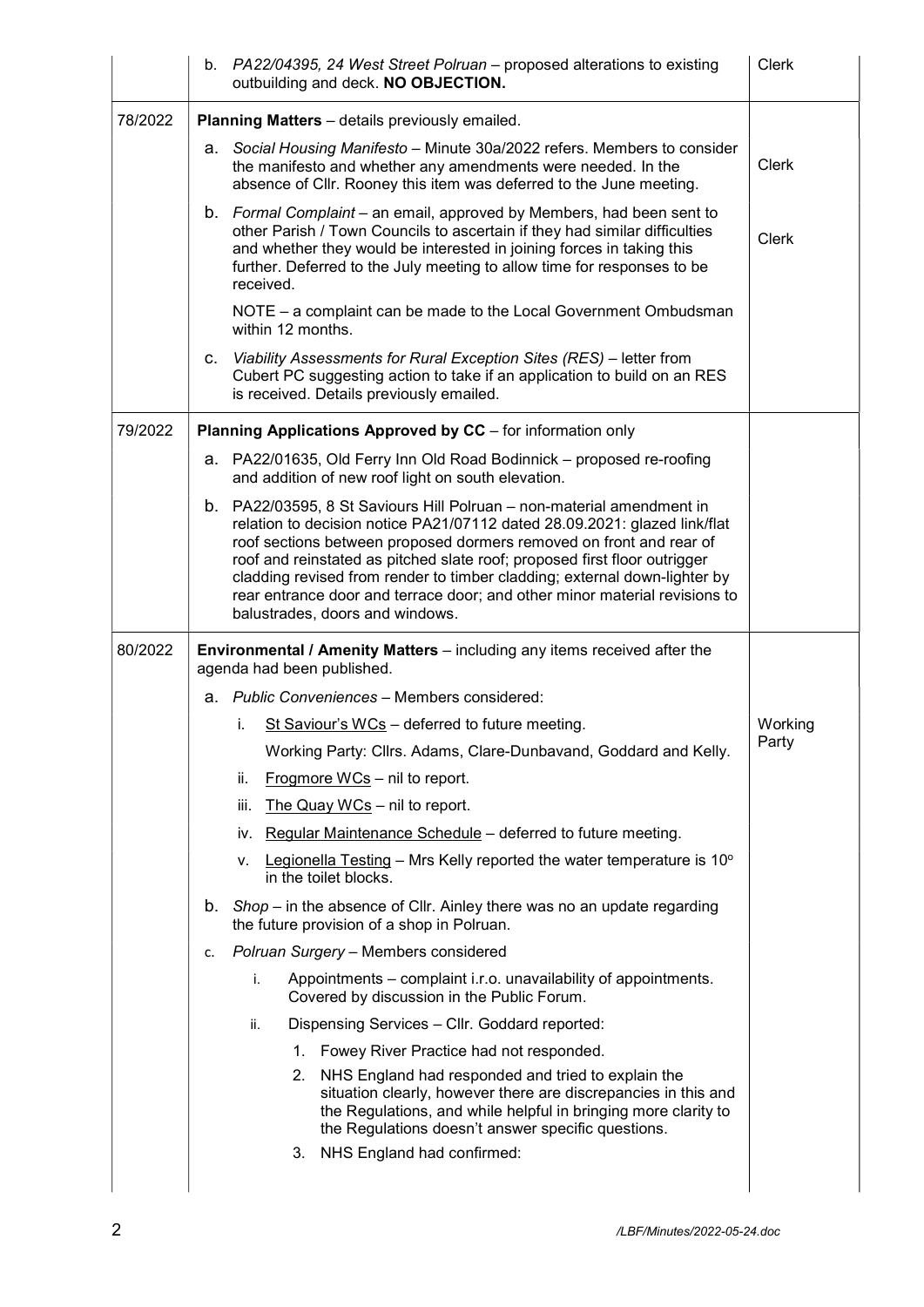|         |                                                             | b. PA22/04395, 24 West Street Polruan - proposed alterations to existing<br>outbuilding and deck. NO OBJECTION.                                                                                                                                                                                                                                                                                                                                                                                      | <b>Clerk</b> |  |  |  |  |  |  |
|---------|-------------------------------------------------------------|------------------------------------------------------------------------------------------------------------------------------------------------------------------------------------------------------------------------------------------------------------------------------------------------------------------------------------------------------------------------------------------------------------------------------------------------------------------------------------------------------|--------------|--|--|--|--|--|--|
| 78/2022 | Planning Matters - details previously emailed.              |                                                                                                                                                                                                                                                                                                                                                                                                                                                                                                      |              |  |  |  |  |  |  |
|         |                                                             | a. Social Housing Manifesto - Minute 30a/2022 refers. Members to consider<br>the manifesto and whether any amendments were needed. In the<br>absence of Cllr. Rooney this item was deferred to the June meeting.                                                                                                                                                                                                                                                                                     | Clerk        |  |  |  |  |  |  |
|         |                                                             | b. Formal Complaint – an email, approved by Members, had been sent to<br>other Parish / Town Councils to ascertain if they had similar difficulties<br>and whether they would be interested in joining forces in taking this<br>further. Deferred to the July meeting to allow time for responses to be<br>received.                                                                                                                                                                                 | Clerk        |  |  |  |  |  |  |
|         |                                                             | NOTE – a complaint can be made to the Local Government Ombudsman<br>within 12 months.                                                                                                                                                                                                                                                                                                                                                                                                                |              |  |  |  |  |  |  |
|         | C.                                                          | Viability Assessments for Rural Exception Sites (RES) - letter from<br>Cubert PC suggesting action to take if an application to build on an RES<br>is received. Details previously emailed.                                                                                                                                                                                                                                                                                                          |              |  |  |  |  |  |  |
| 79/2022 | Planning Applications Approved by CC - for information only |                                                                                                                                                                                                                                                                                                                                                                                                                                                                                                      |              |  |  |  |  |  |  |
|         | а.                                                          | PA22/01635, Old Ferry Inn Old Road Bodinnick - proposed re-roofing<br>and addition of new roof light on south elevation.                                                                                                                                                                                                                                                                                                                                                                             |              |  |  |  |  |  |  |
|         |                                                             | b. PA22/03595, 8 St Saviours Hill Polruan – non-material amendment in<br>relation to decision notice PA21/07112 dated 28.09.2021: glazed link/flat<br>roof sections between proposed dormers removed on front and rear of<br>roof and reinstated as pitched slate roof; proposed first floor outrigger<br>cladding revised from render to timber cladding; external down-lighter by<br>rear entrance door and terrace door; and other minor material revisions to<br>balustrades, doors and windows. |              |  |  |  |  |  |  |
|         |                                                             |                                                                                                                                                                                                                                                                                                                                                                                                                                                                                                      |              |  |  |  |  |  |  |
| 80/2022 |                                                             | <b>Environmental / Amenity Matters</b> – including any items received after the<br>agenda had been published.                                                                                                                                                                                                                                                                                                                                                                                        |              |  |  |  |  |  |  |
|         |                                                             | a. Public Conveniences - Members considered:                                                                                                                                                                                                                                                                                                                                                                                                                                                         |              |  |  |  |  |  |  |
|         |                                                             | St Saviour's WCs - deferred to future meeting.<br>i.                                                                                                                                                                                                                                                                                                                                                                                                                                                 | Working      |  |  |  |  |  |  |
|         |                                                             | Working Party: Cllrs. Adams, Clare-Dunbavand, Goddard and Kelly.                                                                                                                                                                                                                                                                                                                                                                                                                                     | Party        |  |  |  |  |  |  |
|         |                                                             | ii.<br>Frogmore WCs - nil to report.                                                                                                                                                                                                                                                                                                                                                                                                                                                                 |              |  |  |  |  |  |  |
|         |                                                             | The Quay WCs - nil to report.<br>iii.                                                                                                                                                                                                                                                                                                                                                                                                                                                                |              |  |  |  |  |  |  |
|         |                                                             | iv. Regular Maintenance Schedule - deferred to future meeting.                                                                                                                                                                                                                                                                                                                                                                                                                                       |              |  |  |  |  |  |  |
|         |                                                             | Legionella Testing – Mrs Kelly reported the water temperature is $10^{\circ}$<br>v.<br>in the toilet blocks.                                                                                                                                                                                                                                                                                                                                                                                         |              |  |  |  |  |  |  |
|         | b.                                                          | $Shop - in$ the absence of Cllr. Ainley there was no an update regarding<br>the future provision of a shop in Polruan.                                                                                                                                                                                                                                                                                                                                                                               |              |  |  |  |  |  |  |
|         | c.                                                          | Polruan Surgery - Members considered                                                                                                                                                                                                                                                                                                                                                                                                                                                                 |              |  |  |  |  |  |  |
|         |                                                             | Appointments – complaint i.r.o. unavailability of appointments.<br>i.<br>Covered by discussion in the Public Forum.                                                                                                                                                                                                                                                                                                                                                                                  |              |  |  |  |  |  |  |
|         |                                                             | Dispensing Services - Cllr. Goddard reported:<br>ii.                                                                                                                                                                                                                                                                                                                                                                                                                                                 |              |  |  |  |  |  |  |
|         |                                                             | 1. Fowey River Practice had not responded.                                                                                                                                                                                                                                                                                                                                                                                                                                                           |              |  |  |  |  |  |  |
|         |                                                             | 2. NHS England had responded and tried to explain the<br>situation clearly, however there are discrepancies in this and<br>the Regulations, and while helpful in bringing more clarity to<br>the Regulations doesn't answer specific questions.                                                                                                                                                                                                                                                      |              |  |  |  |  |  |  |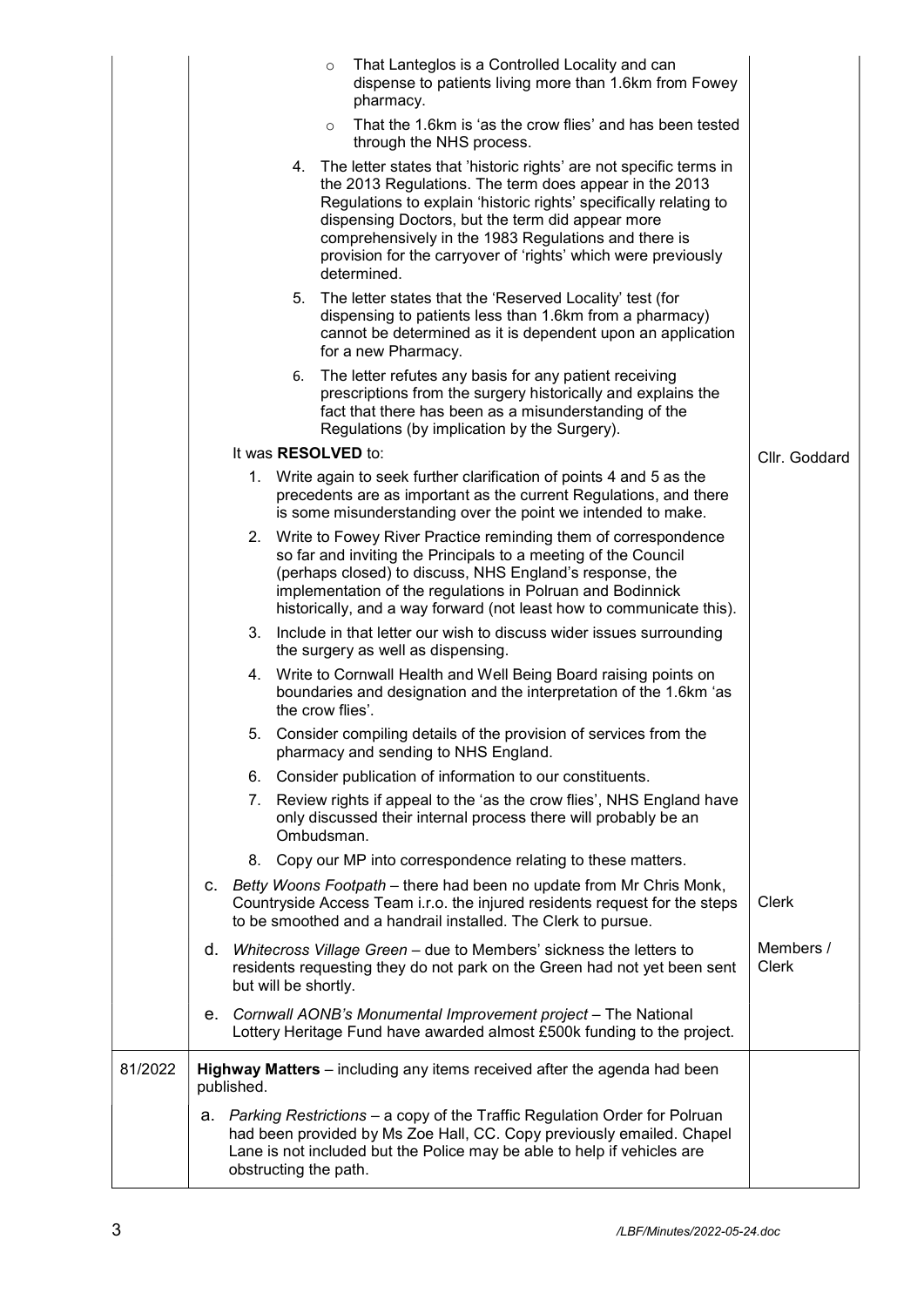|         |    |            |                            | $\circ$ | That Lanteglos is a Controlled Locality and can<br>dispense to patients living more than 1.6km from Fowey<br>pharmacy.                                                                                                                                                                                                                                                                        |                    |
|---------|----|------------|----------------------------|---------|-----------------------------------------------------------------------------------------------------------------------------------------------------------------------------------------------------------------------------------------------------------------------------------------------------------------------------------------------------------------------------------------------|--------------------|
|         |    |            |                            | $\circ$ | That the 1.6km is 'as the crow flies' and has been tested<br>through the NHS process.                                                                                                                                                                                                                                                                                                         |                    |
|         |    |            | 4.                         |         | The letter states that 'historic rights' are not specific terms in<br>the 2013 Regulations. The term does appear in the 2013<br>Regulations to explain 'historic rights' specifically relating to<br>dispensing Doctors, but the term did appear more<br>comprehensively in the 1983 Regulations and there is<br>provision for the carryover of 'rights' which were previously<br>determined. |                    |
|         |    |            | 5.                         |         | The letter states that the 'Reserved Locality' test (for<br>dispensing to patients less than 1.6km from a pharmacy)<br>cannot be determined as it is dependent upon an application<br>for a new Pharmacy.                                                                                                                                                                                     |                    |
|         |    |            | 6.                         |         | The letter refutes any basis for any patient receiving<br>prescriptions from the surgery historically and explains the<br>fact that there has been as a misunderstanding of the<br>Regulations (by implication by the Surgery).                                                                                                                                                               |                    |
|         |    |            | It was <b>RESOLVED</b> to: |         |                                                                                                                                                                                                                                                                                                                                                                                               | Cllr. Goddard      |
|         |    |            |                            |         | 1. Write again to seek further clarification of points 4 and 5 as the<br>precedents are as important as the current Regulations, and there<br>is some misunderstanding over the point we intended to make.                                                                                                                                                                                    |                    |
|         |    |            |                            |         | 2. Write to Fowey River Practice reminding them of correspondence<br>so far and inviting the Principals to a meeting of the Council<br>(perhaps closed) to discuss, NHS England's response, the<br>implementation of the regulations in Polruan and Bodinnick<br>historically, and a way forward (not least how to communicate this).                                                         |                    |
|         |    | 3.         |                            |         | Include in that letter our wish to discuss wider issues surrounding<br>the surgery as well as dispensing.                                                                                                                                                                                                                                                                                     |                    |
|         |    |            | the crow flies'.           |         | 4. Write to Cornwall Health and Well Being Board raising points on<br>boundaries and designation and the interpretation of the 1.6km 'as                                                                                                                                                                                                                                                      |                    |
|         |    |            |                            |         | 5. Consider compiling details of the provision of services from the<br>pharmacy and sending to NHS England.                                                                                                                                                                                                                                                                                   |                    |
|         |    |            |                            |         | 6. Consider publication of information to our constituents.                                                                                                                                                                                                                                                                                                                                   |                    |
|         |    | 7.         | Ombudsman.                 |         | Review rights if appeal to the 'as the crow flies', NHS England have<br>only discussed their internal process there will probably be an                                                                                                                                                                                                                                                       |                    |
|         |    | 8.         |                            |         | Copy our MP into correspondence relating to these matters.                                                                                                                                                                                                                                                                                                                                    |                    |
|         |    |            |                            |         | c. Betty Woons Footpath - there had been no update from Mr Chris Monk,<br>Countryside Access Team i.r.o. the injured residents request for the steps<br>to be smoothed and a handrail installed. The Clerk to pursue.                                                                                                                                                                         | <b>Clerk</b>       |
|         |    |            | but will be shortly.       |         | d. Whitecross Village Green - due to Members' sickness the letters to<br>residents requesting they do not park on the Green had not yet been sent                                                                                                                                                                                                                                             | Members /<br>Clerk |
|         |    |            |                            |         | e. Cornwall AONB's Monumental Improvement project - The National<br>Lottery Heritage Fund have awarded almost £500k funding to the project.                                                                                                                                                                                                                                                   |                    |
| 81/2022 |    | published. |                            |         | Highway Matters - including any items received after the agenda had been                                                                                                                                                                                                                                                                                                                      |                    |
|         | а. |            | obstructing the path.      |         | Parking Restrictions – a copy of the Traffic Regulation Order for Polruan<br>had been provided by Ms Zoe Hall, CC. Copy previously emailed. Chapel<br>Lane is not included but the Police may be able to help if vehicles are                                                                                                                                                                 |                    |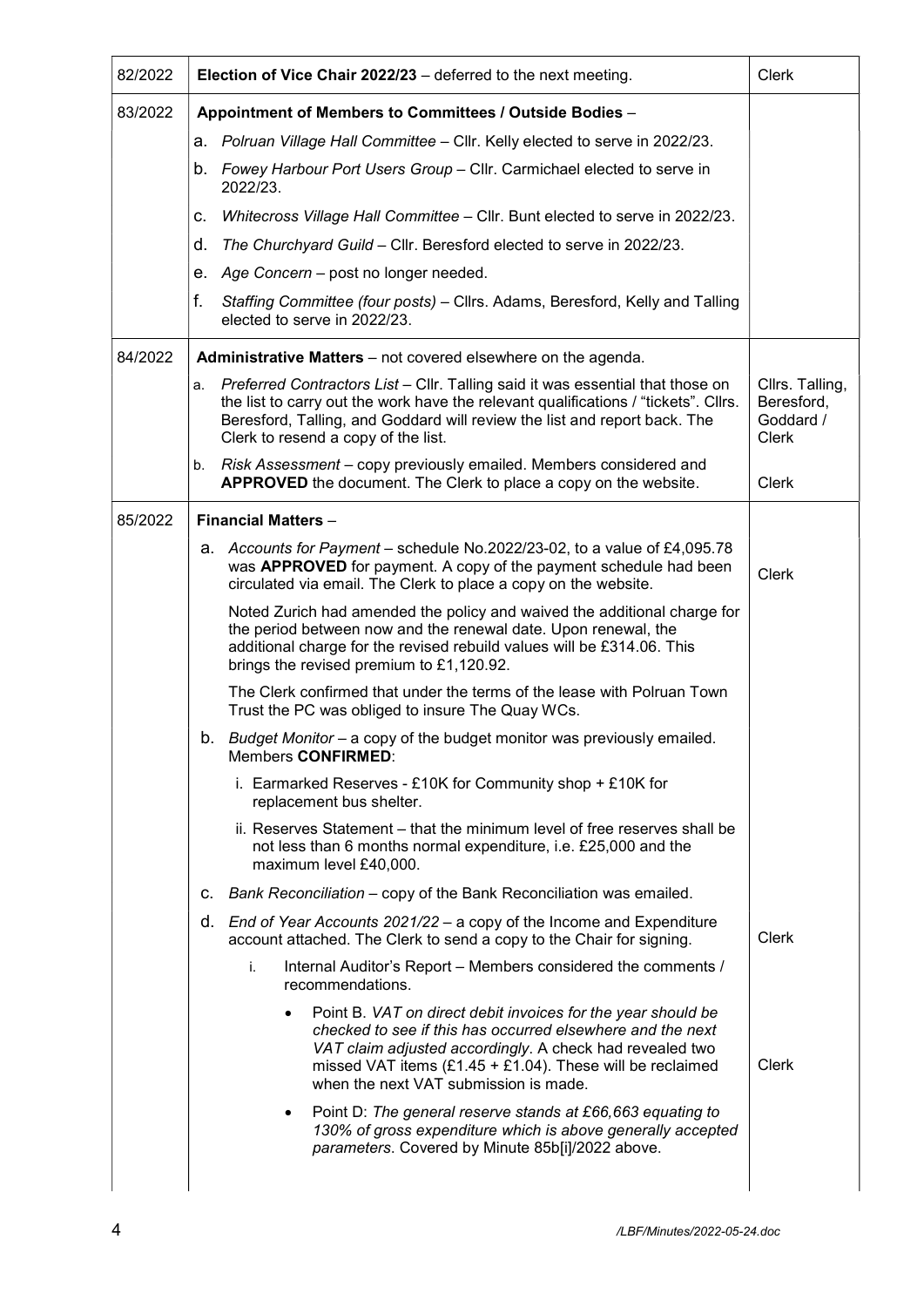| 82/2022 | Election of Vice Chair 2022/23 - deferred to the next meeting. | <b>Clerk</b>                                                                                                                                                                                                                                                                                    |                                                            |  |  |
|---------|----------------------------------------------------------------|-------------------------------------------------------------------------------------------------------------------------------------------------------------------------------------------------------------------------------------------------------------------------------------------------|------------------------------------------------------------|--|--|
| 83/2022 | Appointment of Members to Committees / Outside Bodies -        |                                                                                                                                                                                                                                                                                                 |                                                            |  |  |
|         |                                                                | a. Polruan Village Hall Committee - Cllr. Kelly elected to serve in 2022/23.                                                                                                                                                                                                                    |                                                            |  |  |
|         |                                                                | b. Fowey Harbour Port Users Group - Cllr. Carmichael elected to serve in<br>2022/23.                                                                                                                                                                                                            |                                                            |  |  |
|         | с.                                                             | Whitecross Village Hall Committee – Cllr. Bunt elected to serve in 2022/23.                                                                                                                                                                                                                     |                                                            |  |  |
|         | d.                                                             | The Churchyard Guild - Cllr. Beresford elected to serve in 2022/23.                                                                                                                                                                                                                             |                                                            |  |  |
|         |                                                                | e. Age Concern - post no longer needed.                                                                                                                                                                                                                                                         |                                                            |  |  |
|         | f.                                                             | Staffing Committee (four posts) - Cllrs. Adams, Beresford, Kelly and Talling<br>elected to serve in 2022/23.                                                                                                                                                                                    |                                                            |  |  |
| 84/2022 |                                                                | Administrative Matters - not covered elsewhere on the agenda.                                                                                                                                                                                                                                   |                                                            |  |  |
|         | а.                                                             | Preferred Contractors List - Cllr. Talling said it was essential that those on<br>the list to carry out the work have the relevant qualifications / "tickets". Cllrs.<br>Beresford, Talling, and Goddard will review the list and report back. The<br>Clerk to resend a copy of the list.       | Cllrs. Talling,<br>Beresford,<br>Goddard /<br><b>Clerk</b> |  |  |
|         | b.                                                             | Risk Assessment – copy previously emailed. Members considered and<br><b>APPROVED</b> the document. The Clerk to place a copy on the website.                                                                                                                                                    | Clerk                                                      |  |  |
| 85/2022 |                                                                | <b>Financial Matters -</b>                                                                                                                                                                                                                                                                      |                                                            |  |  |
|         | а.                                                             | Accounts for Payment – schedule No.2022/23-02, to a value of £4,095.78<br>was APPROVED for payment. A copy of the payment schedule had been<br>circulated via email. The Clerk to place a copy on the website.                                                                                  | <b>Clerk</b>                                               |  |  |
|         |                                                                | Noted Zurich had amended the policy and waived the additional charge for<br>the period between now and the renewal date. Upon renewal, the<br>additional charge for the revised rebuild values will be £314.06. This<br>brings the revised premium to £1,120.92.                                |                                                            |  |  |
|         |                                                                | The Clerk confirmed that under the terms of the lease with Polruan Town<br>Trust the PC was obliged to insure The Quay WCs.                                                                                                                                                                     |                                                            |  |  |
|         |                                                                | b. Budget Monitor - a copy of the budget monitor was previously emailed.<br>Members <b>CONFIRMED</b> :                                                                                                                                                                                          |                                                            |  |  |
|         |                                                                | i. Earmarked Reserves - £10K for Community shop $+$ £10K for<br>replacement bus shelter.                                                                                                                                                                                                        |                                                            |  |  |
|         |                                                                | ii. Reserves Statement – that the minimum level of free reserves shall be<br>not less than 6 months normal expenditure, i.e. £25,000 and the<br>maximum level £40,000.                                                                                                                          |                                                            |  |  |
|         | C.                                                             | Bank Reconciliation - copy of the Bank Reconciliation was emailed.                                                                                                                                                                                                                              |                                                            |  |  |
|         |                                                                | d. End of Year Accounts $2021/22 - a$ copy of the Income and Expenditure<br>account attached. The Clerk to send a copy to the Chair for signing.                                                                                                                                                | Clerk                                                      |  |  |
|         |                                                                | i.<br>Internal Auditor's Report - Members considered the comments /<br>recommendations.                                                                                                                                                                                                         |                                                            |  |  |
|         |                                                                | Point B. VAT on direct debit invoices for the year should be<br>checked to see if this has occurred elsewhere and the next<br>VAT claim adjusted accordingly. A check had revealed two<br>missed VAT items $(E1.45 + E1.04)$ . These will be reclaimed<br>when the next VAT submission is made. | Clerk                                                      |  |  |
|         |                                                                | Point D: The general reserve stands at £66,663 equating to<br>$\bullet$<br>130% of gross expenditure which is above generally accepted<br>parameters. Covered by Minute 85b[i]/2022 above.                                                                                                      |                                                            |  |  |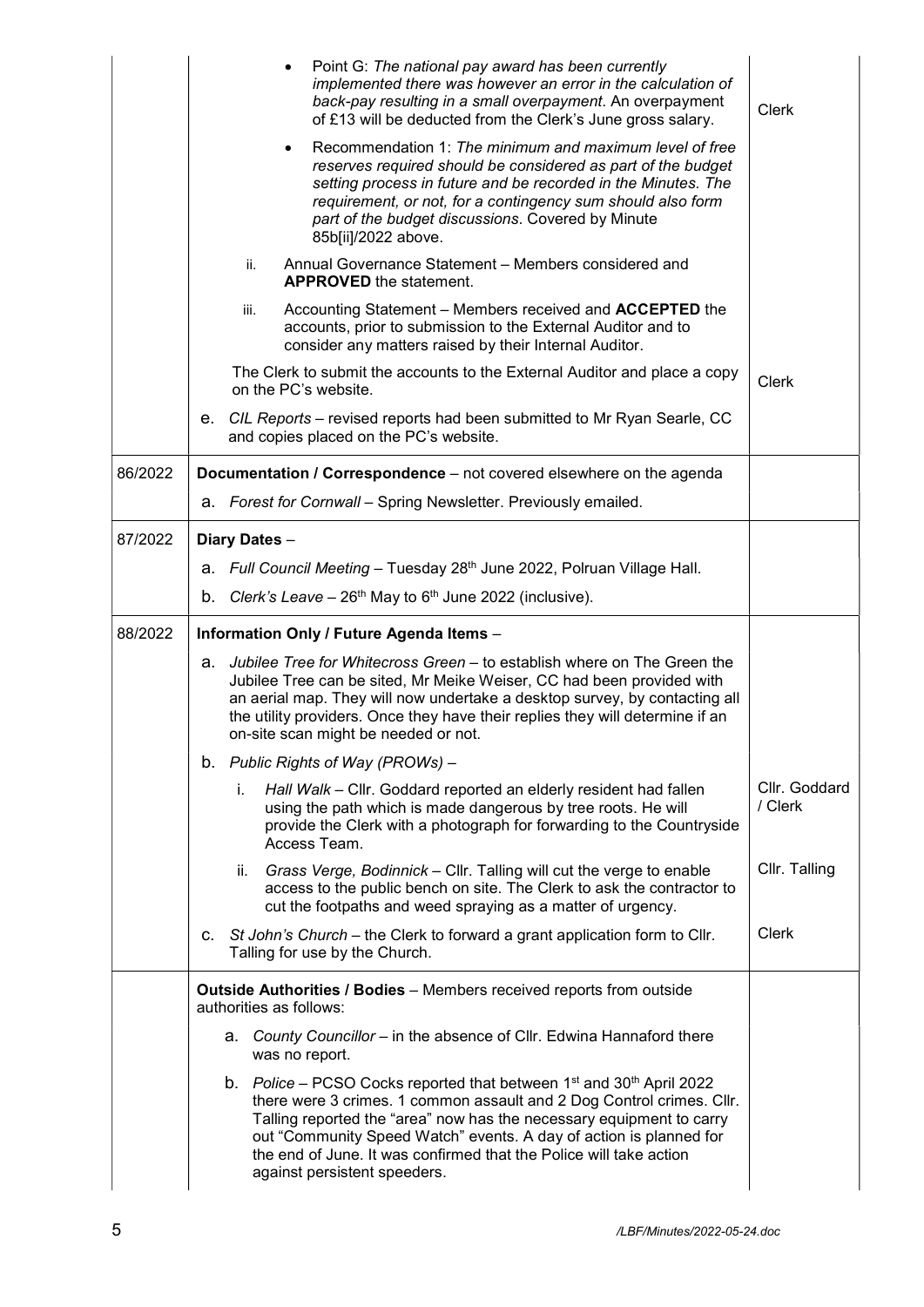|         |                                                                                                        | Point G: The national pay award has been currently<br>implemented there was however an error in the calculation of<br>back-pay resulting in a small overpayment. An overpayment<br>of £13 will be deducted from the Clerk's June gross salary.                                                                                                          | <b>Clerk</b>             |  |  |  |  |  |
|---------|--------------------------------------------------------------------------------------------------------|---------------------------------------------------------------------------------------------------------------------------------------------------------------------------------------------------------------------------------------------------------------------------------------------------------------------------------------------------------|--------------------------|--|--|--|--|--|
|         |                                                                                                        | Recommendation 1: The minimum and maximum level of free<br>$\bullet$<br>reserves required should be considered as part of the budget<br>setting process in future and be recorded in the Minutes. The<br>requirement, or not, for a contingency sum should also form<br>part of the budget discussions. Covered by Minute<br>85b[ii]/2022 above.        |                          |  |  |  |  |  |
|         |                                                                                                        | Annual Governance Statement - Members considered and<br>ii.<br><b>APPROVED</b> the statement.                                                                                                                                                                                                                                                           |                          |  |  |  |  |  |
|         |                                                                                                        | Accounting Statement – Members received and <b>ACCEPTED</b> the<br>iii.<br>accounts, prior to submission to the External Auditor and to<br>consider any matters raised by their Internal Auditor.                                                                                                                                                       |                          |  |  |  |  |  |
|         |                                                                                                        | The Clerk to submit the accounts to the External Auditor and place a copy<br>on the PC's website.                                                                                                                                                                                                                                                       | Clerk                    |  |  |  |  |  |
|         |                                                                                                        | e. CIL Reports – revised reports had been submitted to Mr Ryan Searle, CC<br>and copies placed on the PC's website.                                                                                                                                                                                                                                     |                          |  |  |  |  |  |
| 86/2022 |                                                                                                        | Documentation / Correspondence - not covered elsewhere on the agenda                                                                                                                                                                                                                                                                                    |                          |  |  |  |  |  |
|         |                                                                                                        | a. Forest for Cornwall - Spring Newsletter. Previously emailed.                                                                                                                                                                                                                                                                                         |                          |  |  |  |  |  |
| 87/2022 |                                                                                                        | Diary Dates -                                                                                                                                                                                                                                                                                                                                           |                          |  |  |  |  |  |
|         |                                                                                                        | a. Full Council Meeting - Tuesday 28th June 2022, Polruan Village Hall.                                                                                                                                                                                                                                                                                 |                          |  |  |  |  |  |
|         |                                                                                                        | b. Clerk's Leave – $26th$ May to $6th$ June 2022 (inclusive).                                                                                                                                                                                                                                                                                           |                          |  |  |  |  |  |
| 88/2022 | Information Only / Future Agenda Items -                                                               |                                                                                                                                                                                                                                                                                                                                                         |                          |  |  |  |  |  |
|         | а.                                                                                                     | Jubilee Tree for Whitecross Green – to establish where on The Green the<br>Jubilee Tree can be sited, Mr Meike Weiser, CC had been provided with<br>an aerial map. They will now undertake a desktop survey, by contacting all<br>the utility providers. Once they have their replies they will determine if an<br>on-site scan might be needed or not. |                          |  |  |  |  |  |
|         |                                                                                                        | b. Public Rights of Way (PROWs) -                                                                                                                                                                                                                                                                                                                       |                          |  |  |  |  |  |
|         |                                                                                                        | Hall Walk - Cllr. Goddard reported an elderly resident had fallen<br>İ.<br>using the path which is made dangerous by tree roots. He will<br>provide the Clerk with a photograph for forwarding to the Countryside<br>Access Team.                                                                                                                       | Cllr. Goddard<br>/ Clerk |  |  |  |  |  |
|         |                                                                                                        | Grass Verge, Bodinnick - Cllr. Talling will cut the verge to enable<br>ii.<br>access to the public bench on site. The Clerk to ask the contractor to<br>cut the footpaths and weed spraying as a matter of urgency.                                                                                                                                     | Cllr. Talling            |  |  |  |  |  |
|         |                                                                                                        | c. St John's Church – the Clerk to forward a grant application form to Cllr.<br>Talling for use by the Church.                                                                                                                                                                                                                                          | <b>Clerk</b>             |  |  |  |  |  |
|         | <b>Outside Authorities / Bodies</b> – Members received reports from outside<br>authorities as follows: |                                                                                                                                                                                                                                                                                                                                                         |                          |  |  |  |  |  |
|         |                                                                                                        | a. County Councillor – in the absence of Cllr. Edwina Hannaford there<br>was no report.                                                                                                                                                                                                                                                                 |                          |  |  |  |  |  |
|         |                                                                                                        | b. Police – PCSO Cocks reported that between $1st$ and $30th$ April 2022<br>there were 3 crimes. 1 common assault and 2 Dog Control crimes. Cllr.                                                                                                                                                                                                       |                          |  |  |  |  |  |